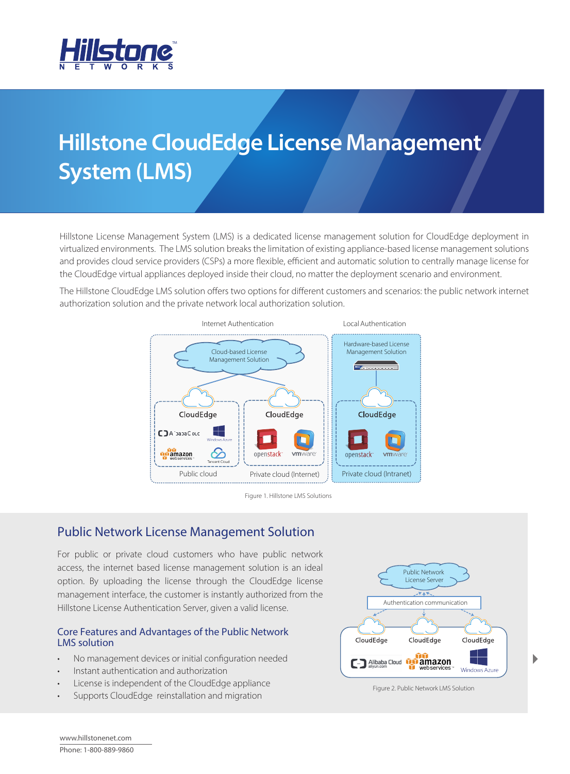

# **Hillstone CloudEdge License Management System (LMS)**

Hillstone License Management System (LMS) is a dedicated license management solution for CloudEdge deployment in virtualized environments. The LMS solution breaks the limitation of existing appliance-based license management solutions and provides cloud service providers (CSPs) a more flexible, efficient and automatic solution to centrally manage license for the CloudEdge virtual appliances deployed inside their cloud, no matter the deployment scenario and environment.

The Hillstone CloudEdge LMS solution offers two options for different customers and scenarios: the public network internet authorization solution and the private network local authorization solution.



Figure 1. Hillstone LMS Solutions

# Public Network License Management Solution

For public or private cloud customers who have public network access, the internet based license management solution is an ideal option. By uploading the license through the CloudEdge license management interface, the customer is instantly authorized from the Hillstone License Authentication Server, given a valid license.

## Core Features and Advantages of the Public Network LMS solution

- No management devices or initial configuration needed
- Instant authentication and authorization
- License is independent of the CloudEdge appliance
- Supports CloudEdge reinstallation and migration



Figure 2. Public Network LMS Solution